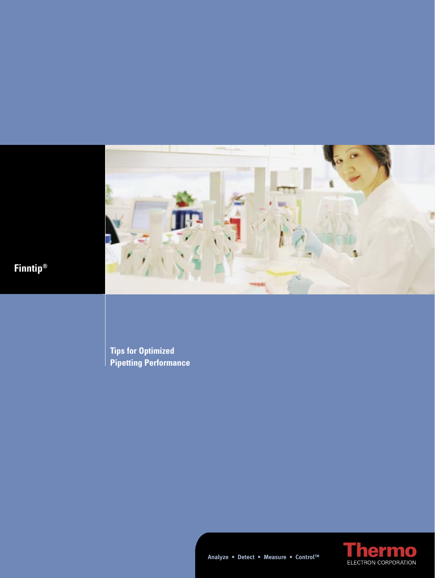

**Analyze • Detect • Measure • ControlTM**

**Tips for Optimized Pipetting Performance**



**Finntip®**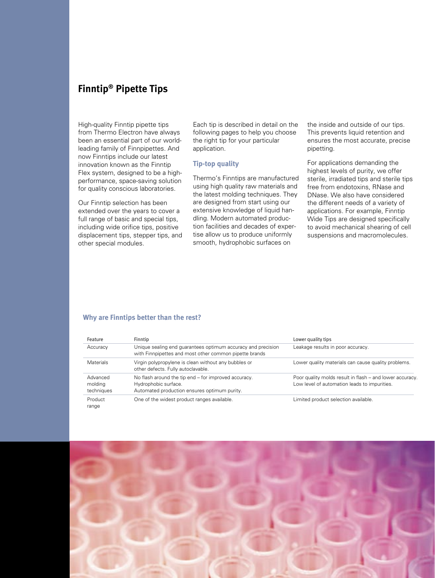# **Finntip® Pipette Tips**

High-quality Finntip pipette tips from Thermo Electron have always been an essential part of our worldleading family of Finnpipettes. And now Finntips include our latest innovation known as the Finntip Flex system, designed to be a highperformance, space-saving solution for quality conscious laboratories.

Our Finntip selection has been extended over the years to cover a full range of basic and special tips, including wide orifice tips, positive displacement tips, stepper tips, and other special modules.

Each tip is described in detail on the following pages to help you choose the right tip for your particular application.

# **Tip-top quality**

Thermo's Finntips are manufactured using high quality raw materials and the latest molding techniques. They are designed from start using our extensive knowledge of liquid handling. Modern automated production facilities and decades of expertise allow us to produce uniformly smooth, hydrophobic surfaces on

the inside and outside of our tips. This prevents liquid retention and ensures the most accurate, precise pipetting.

For applications demanding the highest levels of purity, we offer sterile, irradiated tips and sterile tips free from endotoxins, RNase and DNase. We also have considered the different needs of a variety of applications. For example, Finntip Wide Tips are designed specifically to avoid mechanical shearing of cell suspensions and macromolecules.

#### **Why are Finntips better than the rest?**

| Feature                           | Finntip                                                                                                                      | Lower quality tips                                                                                       |
|-----------------------------------|------------------------------------------------------------------------------------------------------------------------------|----------------------------------------------------------------------------------------------------------|
| Accuracy                          | Unique sealing end quarantees optimum accuracy and precision<br>with Finnpipettes and most other common pipette brands       | Leakage results in poor accuracy.                                                                        |
| <b>Materials</b>                  | Virgin polypropylene is clean without any bubbles or<br>other defects. Fully autoclavable.                                   | Lower quality materials can cause quality problems.                                                      |
| Advanced<br>molding<br>techniques | No flash around the tip end – for improved accuracy.<br>Hydrophobic surface.<br>Automated production ensures optimum purity. | Poor quality molds result in flash – and lower accuracy.<br>Low level of automation leads to impurities. |
| Product<br>range                  | One of the widest product ranges available.                                                                                  | Limited product selection available.                                                                     |

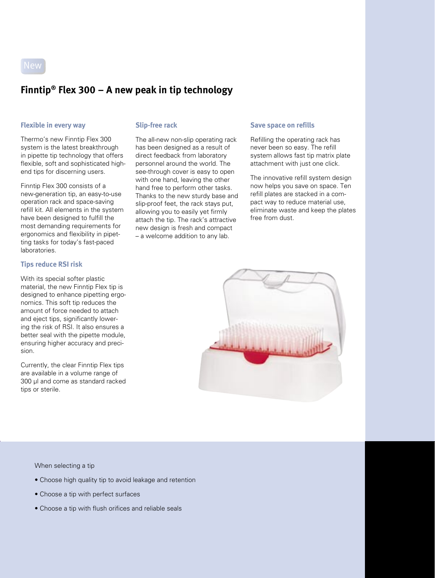

# **Finntip® Flex 300 – A new peak in tip technology**

# **Flexible in every way Slip-free rack**

Thermo's new Finntip Flex 300 system is the latest breakthrough in pipette tip technology that offers flexible, soft and sophisticated highend tips for discerning users.

Finntip Flex 300 consists of a new-generation tip, an easy-to-use operation rack and space-saving refill kit. All elements in the system have been designed to fulfill the most demanding requirements for ergonomics and flexibility in pipetting tasks for today's fast-paced laboratories.

# **Tips reduce RSI risk**

With its special softer plastic material, the new Finntip Flex tip is designed to enhance pipetting ergonomics. This soft tip reduces the amount of force needed to attach and eject tips, significantly lowering the risk of RSI. It also ensures a better seal with the pipette module, ensuring higher accuracy and precision.

Currently, the clear Finntip Flex tips are available in a volume range of 300 µl and come as standard racked tips or sterile.

The all-new non-slip operating rack has been designed as a result of direct feedback from laboratory personnel around the world. The see-through cover is easy to open with one hand, leaving the other hand free to perform other tasks. Thanks to the new sturdy base and slip-proof feet, the rack stays put, allowing you to easily yet firmly attach the tip. The rack's attractive new design is fresh and compact – a welcome addition to any lab.

#### **Save space on refills**

Refilling the operating rack has never been so easy. The refill system allows fast tip matrix plate attachment with just one click.

The innovative refill system design now helps you save on space. Ten refill plates are stacked in a compact way to reduce material use, eliminate waste and keep the plates free from dust.



When selecting a tip

- Choose high quality tip to avoid leakage and retention
- Choose a tip with perfect surfaces
- Choose a tip with flush orifices and reliable seals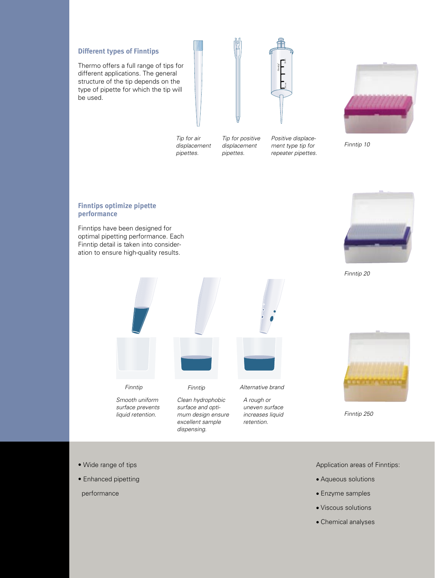# **Different types of Finntips**

Thermo offers a full range of tips for different applications. The general structure of the tip depends on the type of pipette for which the tip will be used.





Tip for positive displacement pipettes.

Positive displacement type tip for<br>repeater pipettes.



Finntip 10

### **Finntips optimize pipette performance**

Finntips have been designed for optimal pipetting performance. Each Finntip detail is taken into consideration to ensure high-quality results.



Finntip 20



Finntip 250

- Wide range of tips
- Enhanced pipetting

performance

Application areas of Finntips:

- Aqueous solutions
- Enzyme samples
- Viscous solutions
- Chemical analyses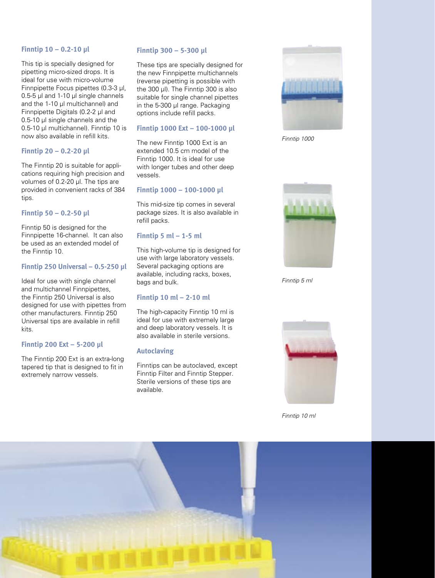### **Finntip 10 – 0.2-10 µl**

This tip is specially designed for pipetting micro-sized drops. It is ideal for use with micro-volume Finnpipette Focus pipettes (0.3-3 µl, 0.5-5 µl and 1-10 µl single channels and the 1-10 µl multichannel) and Finnpipette Digitals (0.2-2 µl and 0.5-10 µl single channels and the 0.5-10 µl multichannel). Finntip 10 is now also available in refill kits.

# **Finntip 20 – 0.2-20 µl**

The Finntip 20 is suitable for applications requiring high precision and volumes of 0.2-20 µl. The tips are provided in convenient racks of 384 tips.

# **Finntip 50 – 0.2-50 µl**

Finntip 50 is designed for the Finnpipette 16-channel. It can also be used as an extended model of the Finntip 10.

# **Finntip 250 Universal – 0.5-250 µl**

Ideal for use with single channel and multichannel Finnpipettes, the Finntip 250 Universal is also designed for use with pipettes from other manufacturers. Finntip 250 Universal tips are available in refill kits.

# **Finntip 200 Ext – 5-200 µl**

The Finntip 200 Ext is an extra-long tapered tip that is designed to fit in extremely narrow vessels.

# **Finntip 300 – 5-300 µl**

These tips are specially designed for the new Finnpipette multichannels (reverse pipetting is possible with the 300 ul). The Finntip 300 is also suitable for single channel pipettes in the 5-300 µl range. Packaging options include refill packs.

# **Finntip 1000 Ext – 100-1000 µl**

The new Finntip 1000 Ext is an extended 10.5 cm model of the Finntip 1000. It is ideal for use with longer tubes and other deep vessels.

# **Finntip 1000 – 100-1000 µl**

This mid-size tip comes in several package sizes. It is also available in refill packs.

# **Finntip 5 ml – 1-5 ml**

This high-volume tip is designed for use with large laboratory vessels. Several packaging options are available, including racks, boxes, bags and bulk.

# **Finntip 10 ml – 2-10 ml**

The high-capacity Finntip 10 ml is ideal for use with extremely large and deep laboratory vessels. It is also available in sterile versions.

# **Autoclaving**

Finntips can be autoclaved, except Finntip Filter and Finntip Stepper. Sterile versions of these tips are available.



Finntip 1000



Finntip 5 ml



Finntip 10 ml

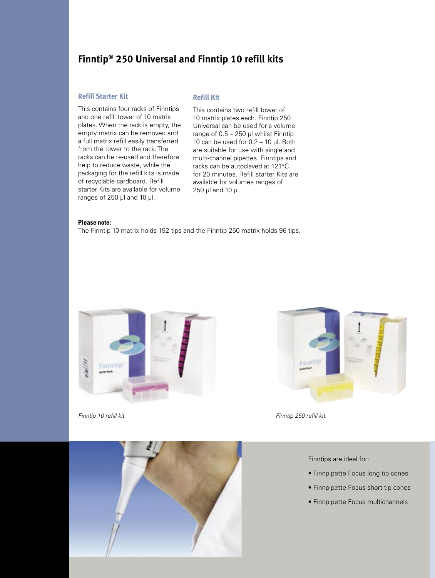# **Finntip® 250 Universal and Finntip 10 refill kits**

# **Refill Starter Kit**

This contains four racks of Finntips and one refill tower of 10 matrix plates. When the rack is empty, the empty matrix can be removed and a full matrix refill easily transferred from the tower to the rack. The racks can be re-used and therefore help to reduce waste, while the packaging for the refill kits is made of recyclable cardboard. Refill starter Kits are available for volume ranges of 250 µl and 10 µl.

#### **Refill Kit**

This contains two refill tower of 10 matrix plates each. Finntip 250 Universal can be used for a volume range of  $0.5 - 250$  µl whilst Finntip 10 can be used for  $0.2 - 10$  µl. Both are suitable for use with single and multi-channel pipettes. Finntips and racks can be autoclaved at 121°C for 20 minutes. Refill starter Kits are available for volumes ranges of 250 µl and 10 µl.

#### **Please note:**

The Finntip 10 matrix holds 192 tips and the Finntip 250 matrix holds 96 tips.





Finntip 10 refill kit. Finntip 250 refill kit.



Finntips are ideal for:

- Finnpipette Focus long tip cones
- Finnpipette Focus short tip cones
- Finnpipette Focus multichannels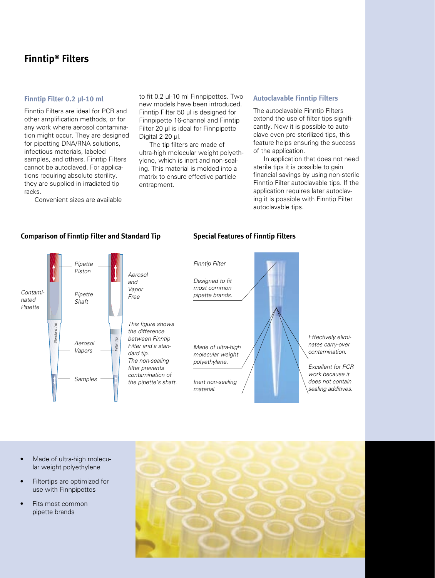# **Finntip® Filters**

# **Finntip Filter 0.2 µl-10 ml**

Finntip Filters are ideal for PCR and other amplification methods, or for any work where aerosol contamination might occur. They are designed for pipetting DNA/RNA solutions, infectious materials, labeled samples, and others. Finntip Filters cannot be autoclaved. For applications requiring absolute sterility, they are supplied in irradiated tip racks.

Convenient sizes are available

to fit 0.2 µl-10 ml Finnpipettes. Two new models have been introduced. Finntip Filter 50 µl is designed for Finnpipette 16-channel and Finntip Filter 20 µl is ideal for Finnpipette Digital 2-20 µl.

The tip filters are made of ultra-high molecular weight polyethylene, which is inert and non-sealing. This material is molded into a matrix to ensure effective particle entrapment.

#### **Autoclavable Finntip Filters**

The autoclavable Finntip Filters extend the use of filter tips significantly. Now it is possible to autoclave even pre-sterilized tips, this feature helps ensuring the success of the application.

In application that does not need sterile tips it is possible to gain financial savings by using non-sterile Finntip Filter autoclavable tips. If the application requires later autoclaving it is possible with Finntip Filter autoclavable tips.



# **Comparison of Finntip Filter and Standard Tip**

### **Special Features of Finntip Filters**



- Made of ultra-high molecu lar weight polyethylene
- Filtertips are optimized for use with Finnpipettes
- Fits most common pipette brands

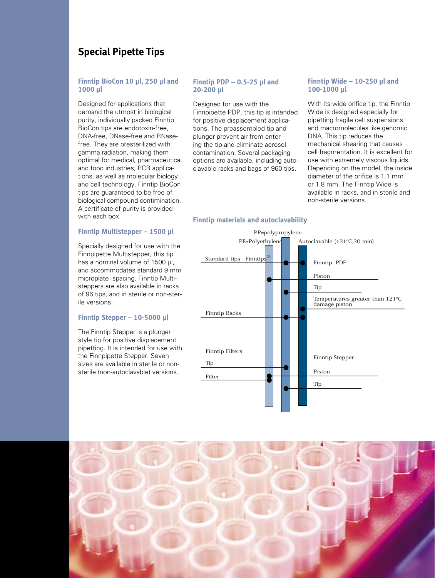# **Special Pipette Tips**

# **Finntip BioCon 10 µl, 250 µl and 1000 µl**

Designed for applications that demand the utmost in biological purity, individually packed Finntip BioCon tips are endotoxin-free, DNA-free, DNase-free and RNasefree. They are presterilized with gamma radiation, making them optimal for medical, pharmaceutical and food industries, PCR applications, as well as molecular biology and cell technology. Finntip BioCon tips are guaranteed to be free of biological compound contimination. A certificate of purity is provided with each box.

# **Finntip Multistepper – 1500 µl**

Specially designed for use with the Finnpipette Multistepper, this tip has a nominal volume of 1500 ul. and accommodates standard 9 mm microplate spacing. Finntip Multisteppers are also available in racks of 96 tips, and in sterile or non-sterile versions.

#### **Finntip Stepper – 10-5000 µl**

The Finntip Stepper is a plunger style tip for positive displacement pipetting. It is intended for use with the Finnpipette Stepper. Seven sizes are available in sterile or nonsterile (non-autoclavable) versions.

# **Finntip PDP – 0.5-25 µl and 20-200 µl**

Designed for use with the Finnpipette PDP, this tip is intended for positive displacement applications. The preassembled tip and plunger prevent air from entering the tip and eliminate aerosol contamination. Several packaging options are available, including autoclavable racks and bags of 960 tips.

### **Finntip Wide – 10-250 µl and 100-1000 µl**

With its wide orifice tip, the Finntip Wide is designed especially for pipetting fragile cell suspensions and macromolecules like genomic DNA. This tip reduces the mechanical shearing that causes cell fragmentation. It is excellent for use with extremely viscous liquids. Depending on the model, the inside diameter of the orifice is 1.1 mm or 1.8 mm. The Finntip Wide is available in racks, and in sterile and non-sterile versions.

# **Finntip materials and autoclavability**



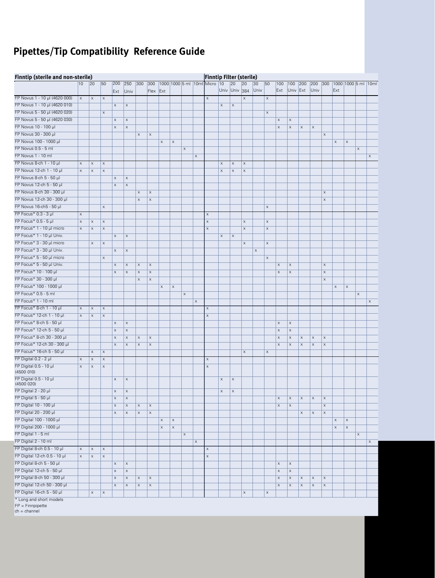# **Pipettes/Tip Compatibility Reference Guide**

|                                      | Finntip (sterile and non-sterile)<br><b>Finntip Filter (sterile)</b> |                           |                           |                           |                           |                           |                           |                           |             |                           |             |                              |             |                     |                           |            |                           |                           |                           |                           |                           |                           |                           |                           |             |                           |
|--------------------------------------|----------------------------------------------------------------------|---------------------------|---------------------------|---------------------------|---------------------------|---------------------------|---------------------------|---------------------------|-------------|---------------------------|-------------|------------------------------|-------------|---------------------|---------------------------|------------|---------------------------|---------------------------|---------------------------|---------------------------|---------------------------|---------------------------|---------------------------|---------------------------|-------------|---------------------------|
|                                      | 10                                                                   | 20                        | 50                        | 200<br>Ext                | 250<br>Univ               | 300                       | 300<br>Flex               | Ext                       |             |                           |             | 1000 1000 5 ml 10ml Micro 10 |             | 20<br>Univ Univ 384 | 20                        | 30<br>Univ | 50                        | 100<br>Ext                | 100<br>Univ Ext           | 200                       | 200<br>Univ               | 300                       | Ext                       |                           |             | 1000 1000 5 ml 10ml       |
| FP Novus 1 - 10 µl (4620 000)        | $\mathsf X$                                                          | $\boldsymbol{\mathsf{X}}$ | $\mathsf X$               |                           |                           |                           |                           |                           |             |                           |             | X                            |             |                     | X                         |            | $\mathsf X$               |                           |                           |                           |                           |                           |                           |                           |             |                           |
| FP Novus 1 - 10 µl (4620 010)        |                                                                      |                           |                           | $\mathsf X$               | $\mathsf X$               |                           |                           |                           |             |                           |             |                              | $\mathsf X$ | $\mathsf X$         |                           |            |                           |                           |                           |                           |                           |                           |                           |                           |             |                           |
| FP Novus 5 - 50 µl (4620 020)        |                                                                      |                           | X                         |                           |                           |                           |                           |                           |             |                           |             |                              |             |                     |                           |            | $\boldsymbol{\mathsf{X}}$ |                           |                           |                           |                           |                           |                           |                           |             |                           |
| FP Novus 5 - 50 µl (4620 030)        |                                                                      |                           |                           | $\mathsf X$               | $\mathsf X$               |                           |                           |                           |             |                           |             |                              |             |                     |                           |            |                           | $\boldsymbol{\mathsf{x}}$ | $\mathsf X$               |                           |                           |                           |                           |                           |             |                           |
| FP Novus 10 - 100 µl                 |                                                                      |                           |                           | $\mathsf X$               | $\mathsf X$               |                           |                           |                           |             |                           |             |                              |             |                     |                           |            |                           | $\mathsf X$               | $\mathsf X$               | $\boldsymbol{\mathsf{X}}$ | $\boldsymbol{\mathsf{X}}$ |                           |                           |                           |             |                           |
| FP Novus 30 - 300 µl                 |                                                                      |                           |                           |                           |                           | $\boldsymbol{\mathsf{X}}$ | X                         |                           |             |                           |             |                              |             |                     |                           |            |                           |                           |                           |                           |                           | X                         |                           |                           |             |                           |
| FP Novus 100 - 1000 µl               |                                                                      |                           |                           |                           |                           |                           |                           | $\boldsymbol{\mathsf{X}}$ | $\mathsf X$ |                           |             |                              |             |                     |                           |            |                           |                           |                           |                           |                           |                           | $\boldsymbol{\mathsf{X}}$ | $\boldsymbol{\mathsf{X}}$ |             |                           |
| FP Novus 0.5 - 5 ml                  |                                                                      |                           |                           |                           |                           |                           |                           |                           |             | $\mathsf X$               |             |                              |             |                     |                           |            |                           |                           |                           |                           |                           |                           |                           |                           | $\mathsf X$ |                           |
| FP Novus 1 - 10 ml                   |                                                                      |                           |                           |                           |                           |                           |                           |                           |             |                           | $\mathsf X$ |                              |             |                     |                           |            |                           |                           |                           |                           |                           |                           |                           |                           |             | $\mathsf X$               |
| FP Novus 8-ch 1 - 10 µl              | $\boldsymbol{\times}$                                                | $\boldsymbol{\mathsf{X}}$ | $\mathsf X$               |                           |                           |                           |                           |                           |             |                           |             |                              | $\mathsf X$ | X                   | $\boldsymbol{\mathsf{x}}$ |            |                           |                           |                           |                           |                           |                           |                           |                           |             |                           |
| FP Novus 12-ch 1 - 10 µl             | $\mathsf X$                                                          | $\mathsf X$               | X                         |                           |                           |                           |                           |                           |             |                           |             |                              | $\mathsf X$ | X                   | X                         |            |                           |                           |                           |                           |                           |                           |                           |                           |             |                           |
| FP Novus 8-ch 5 - 50 µl              |                                                                      |                           |                           |                           |                           |                           |                           |                           |             |                           |             |                              |             |                     |                           |            |                           |                           |                           |                           |                           |                           |                           |                           |             |                           |
| FP Novus 12-ch 5 - 50 µl             |                                                                      |                           |                           | $\mathsf X$               | $\mathsf X$               |                           |                           |                           |             |                           |             |                              |             |                     |                           |            |                           |                           |                           |                           |                           |                           |                           |                           |             |                           |
| FP Novus 8-ch 30 - 300 µl            |                                                                      |                           |                           | $\boldsymbol{\mathsf{X}}$ | $\mathsf X$               |                           |                           |                           |             |                           |             |                              |             |                     |                           |            |                           |                           |                           |                           |                           |                           |                           |                           |             |                           |
| FP Novus 12-ch 30 - 300 µl           |                                                                      |                           |                           |                           |                           | X                         | $\boldsymbol{\mathsf{x}}$ |                           |             |                           |             |                              |             |                     |                           |            |                           |                           |                           |                           |                           | $\boldsymbol{\mathsf{X}}$ |                           |                           |             |                           |
|                                      |                                                                      |                           |                           |                           |                           | $\boldsymbol{\times}$     | $\boldsymbol{\mathsf{X}}$ |                           |             |                           |             |                              |             |                     |                           |            |                           |                           |                           |                           |                           | $\boldsymbol{\mathsf{X}}$ |                           |                           |             |                           |
| FP Novus 16-ch5 - 50 µl              |                                                                      |                           | $\boldsymbol{\mathsf{x}}$ |                           |                           |                           |                           |                           |             |                           |             |                              |             |                     |                           |            | $\boldsymbol{\mathsf{x}}$ |                           |                           |                           |                           |                           |                           |                           |             |                           |
| FP Focus* 0.3 - 3 µl                 | $\mathsf X$                                                          |                           |                           |                           |                           |                           |                           |                           |             |                           |             | $\boldsymbol{\mathsf{X}}$    |             |                     |                           |            |                           |                           |                           |                           |                           |                           |                           |                           |             |                           |
| FP Focus* 0.5 - 5 µl                 | $\mathsf X$                                                          | $\mathsf X$               | $\mathsf X$               |                           |                           |                           |                           |                           |             |                           |             | $\boldsymbol{\mathsf{X}}$    |             |                     | X                         |            | $\mathsf X$               |                           |                           |                           |                           |                           |                           |                           |             |                           |
| FP Focus* 1 - 10 µl micro            | $\mathsf X$                                                          | $\mathsf X$               | X                         |                           |                           |                           |                           |                           |             |                           |             | $\mathsf X$                  |             |                     | X                         |            | X                         |                           |                           |                           |                           |                           |                           |                           |             |                           |
| FP Focus* 1 - 10 µl Univ.            |                                                                      |                           |                           | $\mathsf X$               | $\mathsf X$               |                           |                           |                           |             |                           |             |                              | $\mathsf X$ | X                   |                           |            |                           |                           |                           |                           |                           |                           |                           |                           |             |                           |
| FP Focus* 3 - 30 µl micro            |                                                                      | $\mathsf X$               | $\mathsf X$               |                           |                           |                           |                           |                           |             |                           |             |                              |             |                     | $\mathsf X$               |            | $\boldsymbol{\mathsf{X}}$ |                           |                           |                           |                           |                           |                           |                           |             |                           |
| FP Focus* 3 - 30 µl Univ.            |                                                                      |                           |                           | $\mathsf X$               | $\mathsf X$               |                           |                           |                           |             |                           |             |                              |             |                     |                           | X          |                           |                           |                           |                           |                           |                           |                           |                           |             |                           |
| FP Focus* 5 - 50 µl micro            |                                                                      |                           | X                         |                           |                           |                           |                           |                           |             |                           |             |                              |             |                     |                           |            | $\mathsf X$               |                           |                           |                           |                           |                           |                           |                           |             |                           |
| FP Focus* 5 - 50 µl Univ.            |                                                                      |                           |                           | $\mathsf X$               | $\mathsf X$               | X                         | X                         |                           |             |                           |             |                              |             |                     |                           |            |                           | $\mathsf X$               | $\mathsf X$               |                           |                           | $\mathsf X$               |                           |                           |             |                           |
| FP Focus* 10 - 100 µl                |                                                                      |                           |                           | $\mathsf X$               | $\mathsf X$               | $\boldsymbol{\mathsf{X}}$ | X                         |                           |             |                           |             |                              |             |                     |                           |            |                           | X                         | $\mathsf X$               |                           |                           | $\boldsymbol{\mathsf{X}}$ |                           |                           |             |                           |
| FP Focus* 30 - 300 µl                |                                                                      |                           |                           |                           |                           | $\boldsymbol{\mathsf{X}}$ | $\boldsymbol{\mathsf{X}}$ |                           |             |                           |             |                              |             |                     |                           |            |                           |                           |                           |                           |                           | X                         |                           |                           |             |                           |
| FP Focus* 100 - 1000 µl              |                                                                      |                           |                           |                           |                           |                           |                           | $\mathsf X$               | $\mathsf X$ |                           |             |                              |             |                     |                           |            |                           |                           |                           |                           |                           |                           | $\mathsf X$               | $\boldsymbol{\mathsf{X}}$ |             |                           |
| FP Focus* 0.5 - 5 ml                 |                                                                      |                           |                           |                           |                           |                           |                           |                           |             | $\boldsymbol{\times}$     |             |                              |             |                     |                           |            |                           |                           |                           |                           |                           |                           |                           |                           | $\mathsf X$ |                           |
| FP Focus* 1 - 10 ml                  |                                                                      |                           |                           |                           |                           |                           |                           |                           |             |                           | $\mathsf X$ |                              |             |                     |                           |            |                           |                           |                           |                           |                           |                           |                           |                           |             | $\boldsymbol{\mathsf{X}}$ |
| FP Focus* 8-ch 1 - 10 µl             | $\boldsymbol{\mathsf{X}}$                                            | $\mathsf X$               | $\boldsymbol{\mathsf{x}}$ |                           |                           |                           |                           |                           |             |                           |             | $\boldsymbol{\mathsf{x}}$    |             |                     |                           |            |                           |                           |                           |                           |                           |                           |                           |                           |             |                           |
| FP Focus* 12-ch 1 - 10 µl            | $\mathsf X$                                                          | $\boldsymbol{\mathsf{X}}$ | X                         |                           |                           |                           |                           |                           |             |                           |             | $\boldsymbol{\mathsf{X}}$    |             |                     |                           |            |                           |                           |                           |                           |                           |                           |                           |                           |             |                           |
| FP Focus* 8-ch 5 - 50 µl             |                                                                      |                           |                           | $\mathsf X$               | $\mathsf X$               |                           |                           |                           |             |                           |             |                              |             |                     |                           |            |                           | $\mathsf X$               | $\mathsf X$               |                           |                           |                           |                           |                           |             |                           |
| FP Focus* 12-ch 5 - 50 µl            |                                                                      |                           |                           | $\boldsymbol{\mathsf{x}}$ | $\mathsf X$               |                           |                           |                           |             |                           |             |                              |             |                     |                           |            |                           | $\mathsf X$               | $\mathsf X$               |                           |                           |                           |                           |                           |             |                           |
| FP Focus* 8-ch 30 - 300 µl           |                                                                      |                           |                           | $\mathsf X$               | $\mathsf X$               | $\mathsf X$               | $\boldsymbol{\mathsf{X}}$ |                           |             |                           |             |                              |             |                     |                           |            |                           | $\mathsf X$               | $\mathsf X$               | $\boldsymbol{\mathsf{X}}$ | $\mathsf X$               | $\boldsymbol{\mathsf{X}}$ |                           |                           |             |                           |
| FP Focus* 12-ch 30 - 300 µl          |                                                                      |                           |                           | $\mathsf X$               | $\mathsf X$               | $\boldsymbol{\mathsf{X}}$ | $\boldsymbol{\mathsf{x}}$ |                           |             |                           |             |                              |             |                     |                           |            |                           | X                         | $\mathsf X$               | X                         | X                         | $\boldsymbol{\mathsf{X}}$ |                           |                           |             |                           |
| FP Focus* 16-ch 5 - 50 µl            |                                                                      | $\mathsf X$               | $\boldsymbol{\mathsf{x}}$ |                           |                           |                           |                           |                           |             |                           |             |                              |             |                     | X                         |            | $\boldsymbol{\mathsf{x}}$ |                           |                           |                           |                           |                           |                           |                           |             |                           |
| FP Digital $0.2 - 2$ µl              | $\boldsymbol{\mathsf{X}}$                                            | $\mathsf X$               | $\mathsf X$               |                           |                           |                           |                           |                           |             |                           |             | $\boldsymbol{\mathsf{x}}$    |             |                     |                           |            |                           |                           |                           |                           |                           |                           |                           |                           |             |                           |
| FP Digital 0.5 - 10 µl<br>(4500010)  | $\boldsymbol{\mathsf{X}}$                                            | $\mathsf X$               | X                         |                           |                           |                           |                           |                           |             |                           |             | $\boldsymbol{\mathsf{X}}$    |             |                     |                           |            |                           |                           |                           |                           |                           |                           |                           |                           |             |                           |
| FP Digital 0.5 - 10 µl<br>(4500 020) |                                                                      |                           |                           | $\mathsf X$               | $\mathsf X$               |                           |                           |                           |             |                           |             |                              | $\mathsf X$ | X                   |                           |            |                           |                           |                           |                           |                           |                           |                           |                           |             |                           |
| FP Digital 2 - 20 µl                 |                                                                      |                           |                           | $\mathsf X$               | $\mathsf X$               |                           |                           |                           |             |                           |             |                              | $\mathsf X$ | X                   |                           |            |                           |                           |                           |                           |                           |                           |                           |                           |             |                           |
| FP Digital 5 - 50 µl                 |                                                                      |                           |                           | $\mathsf X$               | $\boldsymbol{\mathsf{X}}$ |                           |                           |                           |             |                           |             |                              |             |                     |                           |            |                           | $\boldsymbol{\mathsf{x}}$ | $\mathsf X$               | $\boldsymbol{\times}$     | $\boldsymbol{\mathsf{X}}$ | $\mathsf X$               |                           |                           |             |                           |
| FP Digital 10 - 100 µl               |                                                                      |                           |                           | $\mathsf X$               | $\mathsf X$               | $\mathsf X$               | $\mathsf X$               |                           |             |                           |             |                              |             |                     |                           |            |                           | $\boldsymbol{\mathsf{X}}$ | $\mathsf X$               |                           |                           | $\mathsf X$               |                           |                           |             |                           |
| FP Digital 20 - 200 µl               |                                                                      |                           |                           | X                         | $\mathsf X$               | X                         | $\mathsf X$               |                           |             |                           |             |                              |             |                     |                           |            |                           |                           |                           | $\boldsymbol{\mathsf{X}}$ | X                         | $\boldsymbol{\mathsf{X}}$ |                           |                           |             |                           |
| FP Digital 100 - 1000 µl             |                                                                      |                           |                           |                           |                           |                           |                           | $\mathsf X$               | $\mathsf X$ |                           |             |                              |             |                     |                           |            |                           |                           |                           |                           |                           |                           | $\boldsymbol{\mathsf{X}}$ | $\mathsf X$               |             |                           |
| FP Digital 200 - 1000 µl             |                                                                      |                           |                           |                           |                           |                           |                           | $\mathsf X$               | $\mathsf X$ |                           |             |                              |             |                     |                           |            |                           |                           |                           |                           |                           |                           | $\mathsf X$               | $\mathsf X$               |             |                           |
| FP Digital 1 - 5 ml                  |                                                                      |                           |                           |                           |                           |                           |                           |                           |             | $\boldsymbol{\mathsf{x}}$ |             |                              |             |                     |                           |            |                           |                           |                           |                           |                           |                           |                           |                           | $\mathsf X$ |                           |
| FP Digital 2 - 10 ml                 |                                                                      |                           |                           |                           |                           |                           |                           |                           |             |                           | $\mathsf X$ |                              |             |                     |                           |            |                           |                           |                           |                           |                           |                           |                           |                           |             | $\mathsf X$               |
| FP Digital 8-ch 0.5 - 10 µl          | $\mathsf X$                                                          | $\mathsf X$               | $\boldsymbol{\mathsf{x}}$ |                           |                           |                           |                           |                           |             |                           |             | $\mathsf X$                  |             |                     |                           |            |                           |                           |                           |                           |                           |                           |                           |                           |             |                           |
| FP Digital 12-ch 0.5 - 10 µl         | $\mathsf X$                                                          | $\mathsf X$               | $\boldsymbol{\mathsf{X}}$ |                           |                           |                           |                           |                           |             |                           |             | $\mathsf X$                  |             |                     |                           |            |                           |                           |                           |                           |                           |                           |                           |                           |             |                           |
| FP Digital 8-ch 5 - 50 µl            |                                                                      |                           |                           | $\mathsf X$               | $\boldsymbol{\mathsf{X}}$ |                           |                           |                           |             |                           |             |                              |             |                     |                           |            |                           | $\mathsf X$               | $\mathsf X$               |                           |                           |                           |                           |                           |             |                           |
| FP Digital 12-ch 5 - 50 µl           |                                                                      |                           |                           | $\mathsf X$               | $\mathsf X$               |                           |                           |                           |             |                           |             |                              |             |                     |                           |            |                           | $\mathsf X$               | $\mathsf X$               |                           |                           |                           |                           |                           |             |                           |
| FP Digital 8-ch 50 - 300 µl          |                                                                      |                           |                           | $\mathsf X$               | $\mathsf X$               | $\mathsf X$               | $\mathsf X$               |                           |             |                           |             |                              |             |                     |                           |            |                           | $\mathsf X$               | $\mathsf X$               | $\mathsf X$               | $\mathsf X$               | $\mathsf X$               |                           |                           |             |                           |
| FP Digital 12-ch 50 - 300 µl         |                                                                      |                           |                           | $\mathsf X$               | $\boldsymbol{\mathsf{X}}$ | X                         | X                         |                           |             |                           |             |                              |             |                     |                           |            |                           | $\mathsf X$               | $\boldsymbol{\mathsf{X}}$ | $\mathsf X$               | $\mathsf X$               | $\mathsf X$               |                           |                           |             |                           |
| FP Digital 16-ch 5 - 50 µl           |                                                                      | $\boldsymbol{\mathsf{x}}$ | $\mathsf X$               |                           |                           |                           |                           |                           |             |                           |             |                              |             |                     | $\mathsf X$               |            | $\boldsymbol{\mathsf{X}}$ |                           |                           |                           |                           |                           |                           |                           |             |                           |
| $*$ Long and short models            |                                                                      |                           |                           |                           |                           |                           |                           |                           |             |                           |             |                              |             |                     |                           |            |                           |                           |                           |                           |                           |                           |                           |                           |             |                           |

\* Long and short models

FP = Finnpipette ch = channel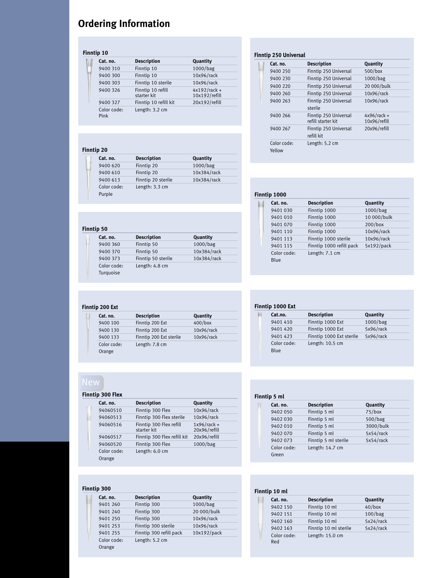# **Ordering Information**

# **Finntip 10**

| Cat. no.            | <b>Description</b>               | Quantity                        |
|---------------------|----------------------------------|---------------------------------|
| 9400 310            | Finntip 10                       | 1000/bag                        |
| 9400 300            | Finntip 10                       | 10x96/rack                      |
| 9400 303            | Finntip 10 sterile               | 10x96/rack                      |
| 9400 326            | Finntip 10 refill<br>starter kit | $4x192/rack +$<br>10x192/refill |
| 9400 327            | Finntip 10 refill kit            | 20x192/refill                   |
| Color code:<br>Pink | Length: 3.2 cm                   |                                 |

# **Finntip 20**

| Cat. no.    | <b>Description</b> | Quantity    |  |
|-------------|--------------------|-------------|--|
| 9400 620    | Finntip 20         | 1000/bag    |  |
| 9400 610    | Finntip 20         | 10x384/rack |  |
| 9400 613    | Finntip 20 sterile | 10x384/rack |  |
| Color code: | Length: 3.3 cm     |             |  |
| Purple      |                    |             |  |

# **Finntip 50**

|  | Cat. no.                 | <b>Description</b> | Quantity    |
|--|--------------------------|--------------------|-------------|
|  | 9400 360                 | Finntip 50         | 1000/bag    |
|  | 9400 370                 | Finntip 50         | 10x384/rack |
|  | 9400 373                 | Finntip 50 sterile | 10x384/rack |
|  | Color code:<br>Turquoise | Length: 4.8 cm     |             |

# **Finntip 200 Ext**

| Cat. no.    | <b>Description</b>      | Quantity   |
|-------------|-------------------------|------------|
| 9400 100    | Finntip 200 Ext         | $400/b$ ox |
| 9400 130    | Finntip 200 Ext         | 10x96/rack |
| 9400 133    | Finntip 200 Ext sterile | 10x96/rack |
| Color code: | Length: 7.8 cm          |            |
| Orange      |                         |            |

# **Finntip 300 Flex**

| Cat. no.    | <b>Description</b>                     | Quantity                      |
|-------------|----------------------------------------|-------------------------------|
| 94060510    | Finntip 300 Flex                       | 10x96/rack                    |
| 94060513    | Finntip 300 Flex sterile               | 10x96/rack                    |
| 94060516    | Finntip 300 Flex refill<br>starter kit | $1x96/rack +$<br>20x96/refill |
| 94060517    | Finntip 300 Flex refill kit            | 20x96/refill                  |
| 94060520    | Finntip 300 Flex                       | 1000/bag                      |
| Color code: | Length: 6.0 cm                         |                               |
| Orange      |                                        |                               |
|             |                                        |                               |

# **Finntip 300**

| Cat. no.    | <b>Description</b>      | Quantity    |
|-------------|-------------------------|-------------|
| 9401 260    | Finntip 300             | 1000/bag    |
| 9401 240    | Finntip 300             | 20 000/bulk |
| 9401 250    | Finntip 300             | 10x96/rack  |
| 9401 253    | Finntip 300 sterile     | 10x96/rack  |
| 9401 255    | Finntip 300 refill pack | 10x192/pack |
| Color code: | Length: 5.2 cm          |             |
| Orange      |                         |             |
|             |                         |             |

# **Finntip 250 Universal**

| Cat. no.              | <b>Description</b>                          | Quantity                      |
|-----------------------|---------------------------------------------|-------------------------------|
| 9400 250              | Finntip 250 Universal                       | $500/b$ ox                    |
| 9400 230              | Finntip 250 Universal                       | 1000/bag                      |
| 9400 220              | Finntip 250 Universal                       | 20 000/bulk                   |
| 9400 260              | Finntip 250 Universal                       | 10x96/rack                    |
| 9400 263              | Finntip 250 Universal<br>sterile            | 10x96/rack                    |
| 9400 266              | Finntip 250 Universal<br>refill starter kit | $4x96/rack +$<br>10x96/refill |
| 9400 267              | Finntip 250 Universal<br>refill kit         | 20x96/refill                  |
| Color code:<br>Yellow | Length: 5.2 cm                              |                               |

### **Finntip 1000**

| <b>Description</b>       | Quantity    |
|--------------------------|-------------|
| Finntip 1000             | 1000/bag    |
| Finntip 1000             | 10 000/bulk |
| Finntip 1000             | $200/b$ ox  |
| Finntip 1000             | 10x96/rack  |
| Finntip 1000 sterile     | 10x96/rack  |
| Finntip 1000 refill pack | 5x192/pack  |
| Length: 7.1 cm           |             |
|                          |             |

| Finntip 1000 Ext |                     |                          |           |  |  |  |  |  |
|------------------|---------------------|--------------------------|-----------|--|--|--|--|--|
|                  | Cat.no.             | <b>Description</b>       | Quantity  |  |  |  |  |  |
|                  | 9401 410            | Finntip 1000 Ext         | 1000/bag  |  |  |  |  |  |
|                  | 9401 420            | Finntip 1000 Ext         | 5x96/rack |  |  |  |  |  |
|                  | 9401 423            | Finntip 1000 Ext sterile | 5x96/rack |  |  |  |  |  |
|                  | Color code:<br>Blue | Length: 10.5 cm          |           |  |  |  |  |  |

| Finntip 5 ml |             |                      |           |  |  |  |  |
|--------------|-------------|----------------------|-----------|--|--|--|--|
|              | Cat. no.    | <b>Description</b>   | Quantity  |  |  |  |  |
|              | 9402 050    | Finntip 5 ml         | $75/b$ ox |  |  |  |  |
|              | 9402 030    | Finntip 5 ml         | 500/bag   |  |  |  |  |
|              | 9402 010    | Finntip 5 ml         | 3000/bulk |  |  |  |  |
|              | 9402 070    | Finntip 5 ml         | 5x54/rack |  |  |  |  |
|              | 9402 073    | Finntip 5 ml sterile | 5x54/rack |  |  |  |  |
|              | Color code: | Length: 14.7 cm      |           |  |  |  |  |
|              | Green       |                      |           |  |  |  |  |

#### **Finntip 10 ml** ш **Cat. no. Description Quantity** 9402 150 Finntip 10 ml 40/box

| ノサソム エノソ           |                           | 40/100 <sub>W</sub> |
|--------------------|---------------------------|---------------------|
| 9402 151           | Finntip 10 ml             | 100/bag             |
| 9402 160           | Finntip 10 ml             | 5x24/rack           |
| 9402 163           | Finntip 10 ml sterile     | 5x24/rack           |
| Color code:<br>Red | Length: $15.0 \text{ cm}$ |                     |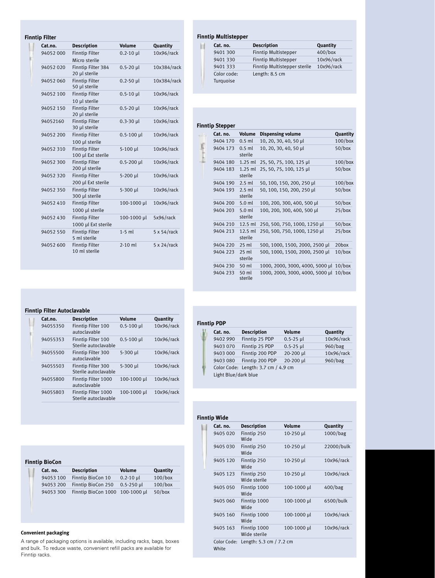### **Finntip Filter**

×

| Cat.no.   | Description                                  | Volume         | Quantity            |
|-----------|----------------------------------------------|----------------|---------------------|
| 94052 000 | <b>Finntip Filter</b><br>Micro sterile       | $0.2 - 10$ µl  | 10x96/rack          |
| 94052020  | Finntip Filter 384<br>20 µl sterile          | $0.5 - 20$ µl  | 10x384/rack         |
| 94052060  | <b>Finntip Filter</b><br>50 µl sterile       | $0.2 - 50$ µl  | 10x384/rack         |
| 94052 100 | <b>Finntip Filter</b><br>10 µl sterile       | $0.5 - 10$ µl  | 10x96/rack          |
| 94052 150 | <b>Finntip Filter</b><br>20 µl sterile       | $0.5 - 20$ µl  | 10x96/rack          |
| 94052160  | <b>Finntip Filter</b><br>30 µl sterile       | $0.3 - 30$ µl  | 10x96/rack          |
| 94052 200 | <b>Finntip Filter</b><br>100 µl sterile      | $0.5 - 100$ µl | 10x96/rack          |
| 94052310  | <b>Finntip Filter</b><br>100 µl Ext sterile  | 5-100 µl       | 10x96/rack          |
| 94052 300 | <b>Finntip Filter</b><br>200 µl sterile      | 0.5-200 µl     | 10x96/rack          |
| 94052320  | <b>Finntip Filter</b><br>200 µl Ext sterile  | 5-200 µl       | 10x96/rack          |
| 94052350  | <b>Finntip Filter</b><br>300 µl sterile      | 5-300 µl       | 10x96/rack          |
| 94052410  | <b>Finntip Filter</b><br>1000 µl sterile     | 100-1000 µl    | 10x96/rack          |
| 94052430  | <b>Finntip Filter</b><br>1000 µl Ext sterile | 100-1000 µl    | 5x96/rack           |
| 94052 550 | <b>Finntip Filter</b><br>5 ml sterile        | $1-5$ ml       | $5 \times 54$ /rack |
| 94052 600 | <b>Finntip Filter</b><br>10 ml sterile       | $2-10$ ml      | $5 \times 24$ /rack |

# **Finntip Filter Autoclavable**

| Cat.no.  | <b>Description</b>                          | Volume         | Quantity   |
|----------|---------------------------------------------|----------------|------------|
| 94055350 | Finntip Filter 100<br>autoclavable          | $0.5 - 100$ µl | 10x96/rack |
| 94055353 | Finntip Filter 100<br>Sterile autoclavable  | $0.5 - 100$ µl | 10x96/rack |
| 94055500 | Finntip Filter 300<br>autoclavable          | 5-300 µl       | 10x96/rack |
| 94055503 | Finntip Filter 300<br>Sterile autoclavable  | 5-300 µl       | 10x96/rack |
| 94055800 | Finntip Filter 1000<br>autoclavable         | 100-1000 µl    | 10x96/rack |
| 94055803 | Finntip Filter 1000<br>Sterile autoclavable | 100-1000 µl    | 10x96/rack |
|          |                                             |                |            |

| <b>Finntip BioCon</b> |           |                                 |                |            |  |  |
|-----------------------|-----------|---------------------------------|----------------|------------|--|--|
|                       | Cat. no.  | <b>Description</b>              | Volume         | Quantity   |  |  |
|                       | 94053 100 | Finntip BioCon 10               | $0.2 - 10$ µl  | $100/b$ ox |  |  |
|                       | 94053 200 | Finntip BioCon 250              | $0.5 - 250$ µl | $100/b$ ox |  |  |
|                       | 94053 300 | Finntip BioCon 1000 100-1000 µl |                | $50/b$ ox  |  |  |

#### **Convenient packaging**

A range of packaging options is available, including racks, bags, boxes and bulk. To reduce waste, convenient refill packs are available for Finntip racks.

#### **Finntip Multistepper**

Ħ

| . .         |                              |            |
|-------------|------------------------------|------------|
| Cat. no.    | <b>Description</b>           | Quantity   |
| 9401 300    | <b>Finntip Multistepper</b>  | $400/b$ ox |
| 9401 330    | <b>Finntip Multistepper</b>  | 10x96/rack |
| 9401 333    | Finntip Multistepper sterile | 10x96/rack |
| Color code: | Length: 8.5 cm               |            |
| Turquoise   |                              |            |

| Cat. no. | Volume               | <b>Dispensing volume</b>               | Quantity   |
|----------|----------------------|----------------------------------------|------------|
| 9404 170 | $0.5$ ml             | 10, 20, 30, 40, 50 µl                  | $100/b$ ox |
| 9404 173 | $0.5$ ml<br>sterile  | 10, 20, 30, 40, 50 µl                  | $50/b$ ox  |
| 9404 180 | $1.25$ ml            | 25, 50, 75, 100, 125 µl                | $100/b$ ox |
| 9404 183 | $1.25$ ml<br>sterile | 25, 50, 75, 100, 125 µl                | $50/b$ ox  |
| 9404 190 | $2.5$ ml             | 50, 100, 150, 200, 250 µl              | $100/b$ ox |
| 9404 193 | $2.5$ ml<br>sterile  | 50, 100, 150, 200, 250 µl              | $50/b$ ox  |
| 9404 200 | $5.0$ ml             | 100, 200, 300, 400, 500 µl             | $50/b$ ox  |
| 9404 203 | $5.0$ ml<br>sterile  | 100, 200, 300, 400, 500 µl             | $25/b$ ox  |
| 9404 210 | $12.5$ ml            | 250, 500, 750, 1000, 1250 µl           | $50/b$ ox  |
| 9404 213 | 12.5 ml<br>sterile   | 250, 500, 750, 1000, 1250 µl           | $25/b$ ox  |
| 9404 220 | $25$ ml              | 500, 1000, 1500, 2000, 2500 µl         | 20box      |
| 9404 223 | $25$ ml<br>sterile   | 500, 1000, 1500, 2000, 2500 µl         | $10/b$ ox  |
| 9404 230 | 50 ml                | 1000, 2000, 3000, 4000, 5000 µl 10/box |            |
| 9404 233 | 50 ml<br>sterile     | 1000, 2000, 3000, 4000, 5000 µl 10/box |            |

| Cat. no.                                                    | <b>Description</b> | Volume        | Quantity   |
|-------------------------------------------------------------|--------------------|---------------|------------|
| 9402 990                                                    | Finntip 25 PDP     | $0.5 - 25$ µl | 10x96/rack |
| 9403 070                                                    | Finntip 25 PDP     | $0.5 - 25$ µl | 960/bag    |
| 9403 000                                                    | Finntip 200 PDP    | 20-200 µl     | 10x96/rack |
| 9403 080                                                    | Finntip 200 PDP    | 20-200 µl     | 960/bag    |
| Color Code: Length: 3.7 cm / 4.9 cm<br>Light Blue/dark blue |                    |               |            |

#### **Finntip Wide Cat. no. Description Volume Quantity** 9405 020 Finntip 250 10-250 µl 1000/bag Wide 9405 030 Finntip 250 10-250 µl 22000/bulk Wide 9405 120 Finntip 250 10-250 µl 10x96/rack Wide 9405 123 Finntip 250 10-250 µl 10x96/rack Wide sterile 9405 050 Finntip 1000 100-1000 µl 400/bag Wide 9405 060 Finntip 1000 100-1000 µl 6500/bulk Wide 9405 160 Finntip 1000 100-1000 µl 10x96/rack Wide 9405 163 Finntip 1000 100-1000 µl 10x96/rack Wide sterile Color Code: Length: 5.3 cm / 7.2 cm White